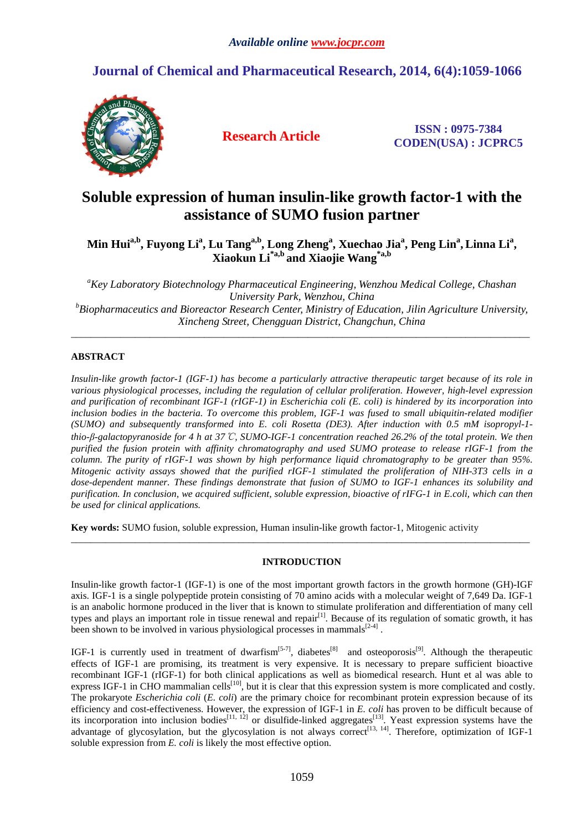## **Journal of Chemical and Pharmaceutical Research, 2014, 6(4):1059-1066**



**Research Article ISSN : 0975-7384 CODEN(USA) : JCPRC5**

# **Soluble expression of human insulin-like growth factor-1 with the assistance of SUMO fusion partner**

## **Min Huia,b, Fuyong Li<sup>a</sup> , Lu Tanga,b, Long Zheng<sup>a</sup> , Xuechao Jia<sup>a</sup> , Peng Lin<sup>a</sup> , Linna Li<sup>a</sup> , Xiaokun Li\*a,b and Xiaojie Wang\*a,b**

*<sup>a</sup>Key Laboratory Biotechnology Pharmaceutical Engineering, Wenzhou Medical College, Chashan University Park, Wenzhou, China <sup>b</sup>Biopharmaceutics and Bioreactor Research Center, Ministry of Education, Jilin Agriculture University, Xincheng Street, Chengguan District, Changchun, China* 

\_\_\_\_\_\_\_\_\_\_\_\_\_\_\_\_\_\_\_\_\_\_\_\_\_\_\_\_\_\_\_\_\_\_\_\_\_\_\_\_\_\_\_\_\_\_\_\_\_\_\_\_\_\_\_\_\_\_\_\_\_\_\_\_\_\_\_\_\_\_\_\_\_\_\_\_\_\_\_\_\_\_\_\_\_\_\_\_\_\_\_\_\_

## **ABSTRACT**

*Insulin-like growth factor-1 (IGF-1) has become a particularly attractive therapeutic target because of its role in various physiological processes, including the regulation of cellular proliferation. However, high-level expression and purification of recombinant IGF-1 (rIGF-1) in Escherichia coli (E. coli) is hindered by its incorporation into inclusion bodies in the bacteria. To overcome this problem, IGF-1 was fused to small ubiquitin-related modifier (SUMO) and subsequently transformed into E. coli Rosetta (DE3). After induction with 0.5 mM isopropyl-1 thio-β-galactopyranoside for 4 h at 37*℃*, SUMO-IGF-1 concentration reached 26.2% of the total protein. We then purified the fusion protein with affinity chromatography and used SUMO protease to release rIGF-1 from the column. The purity of rIGF-1 was shown by high performance liquid chromatography to be greater than 95%. Mitogenic activity assays showed that the purified rIGF-1 stimulated the proliferation of NIH-3T3 cells in a dose-dependent manner. These findings demonstrate that fusion of SUMO to IGF-1 enhances its solubility and purification. In conclusion, we acquired sufficient, soluble expression, bioactive of rIFG-1 in E.coli, which can then be used for clinical applications.*

**Key words:** SUMO fusion, soluble expression, Human insulin-like growth factor-1, Mitogenic activity

## **INTRODUCTION**

\_\_\_\_\_\_\_\_\_\_\_\_\_\_\_\_\_\_\_\_\_\_\_\_\_\_\_\_\_\_\_\_\_\_\_\_\_\_\_\_\_\_\_\_\_\_\_\_\_\_\_\_\_\_\_\_\_\_\_\_\_\_\_\_\_\_\_\_\_\_\_\_\_\_\_\_\_\_\_\_\_\_\_\_\_\_\_\_\_\_\_\_\_

Insulin-like growth factor-1 (IGF-1) is one of the most important growth factors in the growth hormone (GH)-IGF axis. IGF-1 is a single polypeptide protein consisting of 70 amino acids with a molecular weight of 7,649 Da. IGF-1 is an anabolic hormone produced in the liver that is known to stimulate proliferation and differentiation of many cell types and plays an important role in tissue renewal and repair<sup>[1]</sup>. Because of its regulation of somatic growth, it has been shown to be involved in various physiological processes in mammals $^{[2-4]}$ .

IGF-1 is currently used in treatment of dwarfism<sup>[5-7]</sup>, diabetes<sup>[8]</sup> and osteoporosis<sup>[9]</sup>. Although the therapeutic effects of IGF-1 are promising, its treatment is very expensive. It is necessary to prepare sufficient bioactive recombinant IGF-1 (rIGF-1) for both clinical applications as well as biomedical research. Hunt et al was able to express IGF-1 in CHO mammalian cells<sup>[10]</sup>, but it is clear that this expression system is more complicated and costly. The prokaryote *Escherichia coli* (*E. coli*) are the primary choice for recombinant protein expression because of its efficiency and cost-effectiveness. However, the expression of IGF-1 in *E. coli* has proven to be difficult because of its incorporation into inclusion bodies<sup>[11, 12]</sup> or disulfide-linked aggregates<sup>[13]</sup>. Yeast expression systems have the advantage of glycosylation, but the glycosylation is not always correct<sup>[13, 14]</sup>. Therefore, optimization of IGF-1 soluble expression from *E. coli* is likely the most effective option.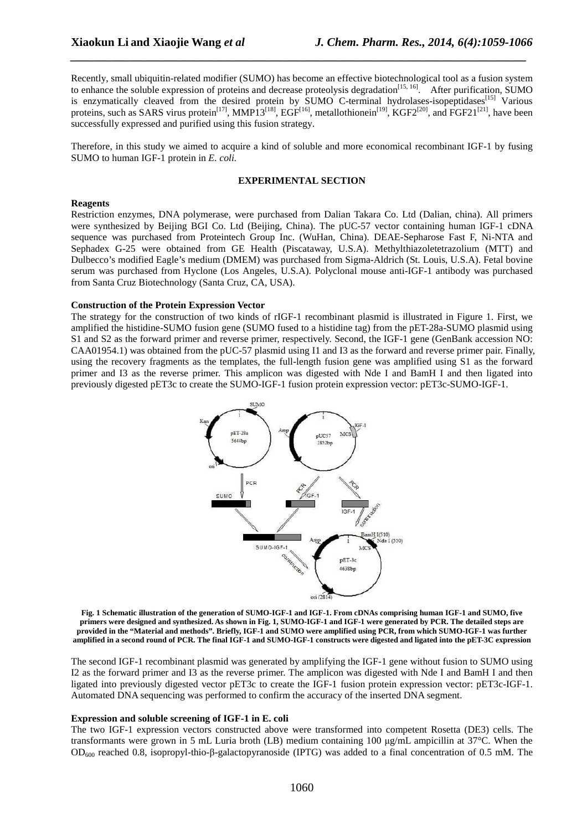Recently, small ubiquitin-related modifier (SUMO) has become an effective biotechnological tool as a fusion system to enhance the soluble expression of proteins and decrease proteolysis degradation<sup>[15, 16]</sup>. After purification, SUMO is enzymatically cleaved from the desired protein by SUMO C-terminal hydrolases-isopeptidases<sup>[15]</sup> Various proteins, such as SARS virus protein<sup>[17]</sup>, MMP13<sup>[18]</sup>, EGF<sup>[16]</sup>, metallothionein<sup>[19]</sup>, KGF2<sup>[20]</sup>, and FGF21<sup>[21]</sup>, have been successfully expressed and purified using this fusion strategy.

*\_\_\_\_\_\_\_\_\_\_\_\_\_\_\_\_\_\_\_\_\_\_\_\_\_\_\_\_\_\_\_\_\_\_\_\_\_\_\_\_\_\_\_\_\_\_\_\_\_\_\_\_\_\_\_\_\_\_\_\_\_\_\_\_\_\_\_\_\_\_\_\_\_\_\_\_\_*

Therefore, in this study we aimed to acquire a kind of soluble and more economical recombinant IGF-1 by fusing SUMO to human IGF-1 protein in *E. coli.*

## **EXPERIMENTAL SECTION**

### **Reagents**

Restriction enzymes, DNA polymerase, were purchased from Dalian Takara Co. Ltd (Dalian, china). All primers were synthesized by Beijing BGI Co. Ltd (Beijing, China). The pUC-57 vector containing human IGF-1 cDNA sequence was purchased from Proteintech Group Inc. (WuHan, China). DEAE-Sepharose Fast F, Ni-NTA and Sephadex G-25 were obtained from GE Health (Piscataway, U.S.A). Methylthiazoletetrazolium (MTT) and Dulbecco's modified Eagle's medium (DMEM) was purchased from Sigma-Aldrich (St. Louis, U.S.A). Fetal bovine serum was purchased from Hyclone (Los Angeles, U.S.A). Polyclonal mouse anti-IGF-1 antibody was purchased from Santa Cruz Biotechnology (Santa Cruz, CA, USA).

#### **Construction of the Protein Expression Vector**

The strategy for the construction of two kinds of rIGF-1 recombinant plasmid is illustrated in Figure 1. First, we amplified the histidine-SUMO fusion gene (SUMO fused to a histidine tag) from the pET-28a-SUMO plasmid using S1 and S2 as the forward primer and reverse primer, respectively. Second, the IGF-1 gene (GenBank accession NO: CAA01954.1) was obtained from the pUC-57 plasmid using I1 and I3 as the forward and reverse primer pair. Finally, using the recovery fragments as the templates, the full-length fusion gene was amplified using S1 as the forward primer and I3 as the reverse primer. This amplicon was digested with Nde I and BamH I and then ligated into previously digested pET3c to create the SUMO-IGF-1 fusion protein expression vector: pET3c-SUMO-IGF-1.



**Fig. 1 Schematic illustration of the generation of SUMO-IGF-1 and IGF-1. From cDNAs comprising human IGF-1 and SUMO, five primers were designed and synthesized. As shown in Fig. 1, SUMO-IGF-1 and IGF-1 were generated by PCR. The detailed steps are provided in the "Material and methods". Briefly, IGF-1 and SUMO were amplified using PCR, from which SUMO-IGF-1 was further amplified in a second round of PCR. The final IGF-1 and SUMO-IGF-1 constructs were digested and ligated into the pET-3C expression** 

The second IGF-1 recombinant plasmid was generated by amplifying the IGF-1 gene without fusion to SUMO using I2 as the forward primer and I3 as the reverse primer. The amplicon was digested with Nde I and BamH I and then ligated into previously digested vector pET3c to create the IGF-1 fusion protein expression vector: pET3c-IGF-1. Automated DNA sequencing was performed to confirm the accuracy of the inserted DNA segment.

## **Expression and soluble screening of IGF-1 in E. coli**

The two IGF-1 expression vectors constructed above were transformed into competent Rosetta (DE3) cells. The transformants were grown in 5 mL Luria broth (LB) medium containing 100  $\mu$ g/mL ampicillin at 37°C. When the OD600 reached 0.8, isopropyl-thio-β-galactopyranoside (IPTG) was added to a final concentration of 0.5 mM. The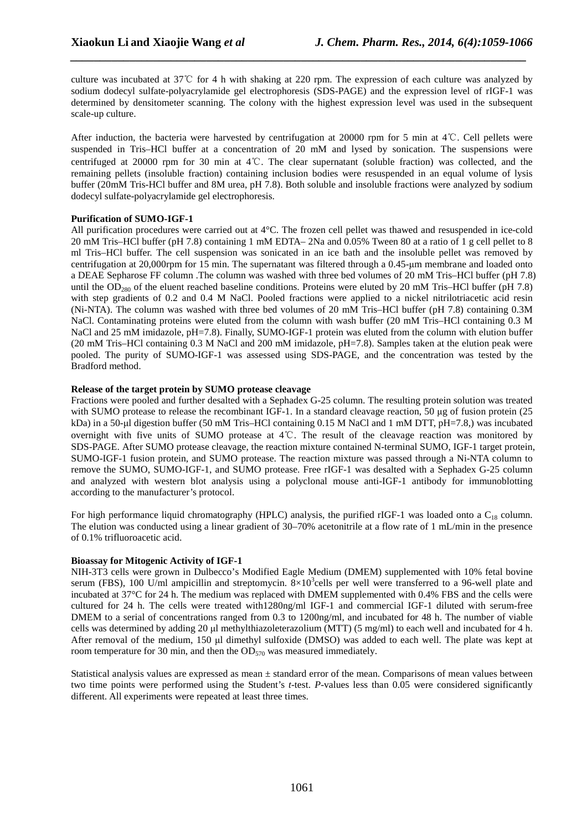culture was incubated at 37℃ for 4 h with shaking at 220 rpm. The expression of each culture was analyzed by sodium dodecyl sulfate-polyacrylamide gel electrophoresis (SDS-PAGE) and the expression level of rIGF-1 was determined by densitometer scanning. The colony with the highest expression level was used in the subsequent scale-up culture.

*\_\_\_\_\_\_\_\_\_\_\_\_\_\_\_\_\_\_\_\_\_\_\_\_\_\_\_\_\_\_\_\_\_\_\_\_\_\_\_\_\_\_\_\_\_\_\_\_\_\_\_\_\_\_\_\_\_\_\_\_\_\_\_\_\_\_\_\_\_\_\_\_\_\_\_\_\_*

After induction, the bacteria were harvested by centrifugation at 20000 rpm for 5 min at 4℃. Cell pellets were suspended in Tris–HCl buffer at a concentration of 20 mM and lysed by sonication. The suspensions were centrifuged at 20000 rpm for 30 min at 4℃. The clear supernatant (soluble fraction) was collected, and the remaining pellets (insoluble fraction) containing inclusion bodies were resuspended in an equal volume of lysis buffer (20mM Tris-HCl buffer and 8M urea, pH 7.8). Both soluble and insoluble fractions were analyzed by sodium dodecyl sulfate-polyacrylamide gel electrophoresis.

## **Purification of SUMO-IGF-1**

All purification procedures were carried out at 4°C. The frozen cell pellet was thawed and resuspended in ice-cold 20 mM Tris–HCl buffer (pH 7.8) containing 1 mM EDTA– 2Na and 0.05% Tween 80 at a ratio of 1 g cell pellet to 8 ml Tris–HCl buffer. The cell suspension was sonicated in an ice bath and the insoluble pellet was removed by centrifugation at 20,000rpm for 15 min. The supernatant was filtered through a 0.45-µm membrane and loaded onto a DEAE Sepharose FF column .The column was washed with three bed volumes of 20 mM Tris–HCl buffer (pH 7.8) until the OD<sub>280</sub> of the eluent reached baseline conditions. Proteins were eluted by 20 mM Tris–HCl buffer (pH 7.8) with step gradients of 0.2 and 0.4 M NaCl. Pooled fractions were applied to a nickel nitrilotriacetic acid resin (Ni-NTA). The column was washed with three bed volumes of 20 mM Tris–HCl buffer (pH 7.8) containing 0.3M NaCl. Contaminating proteins were eluted from the column with wash buffer (20 mM Tris–HCl containing 0.3 M NaCl and 25 mM imidazole, pH=7.8). Finally, SUMO-IGF-1 protein was eluted from the column with elution buffer (20 mM Tris–HCl containing 0.3 M NaCl and 200 mM imidazole, pH=7.8). Samples taken at the elution peak were pooled. The purity of SUMO-IGF-1 was assessed using SDS-PAGE, and the concentration was tested by the Bradford method.

## **Release of the target protein by SUMO protease cleavage**

Fractions were pooled and further desalted with a Sephadex G-25 column. The resulting protein solution was treated with SUMO protease to release the recombinant IGF-1. In a standard cleavage reaction, 50 µg of fusion protein (25 kDa) in a 50-µl digestion buffer (50 mM Tris–HCl containing 0.15 M NaCl and 1 mM DTT, pH=7.8,) was incubated overnight with five units of SUMO protease at 4℃. The result of the cleavage reaction was monitored by SDS-PAGE. After SUMO protease cleavage, the reaction mixture contained N-terminal SUMO, IGF-1 target protein, SUMO-IGF-1 fusion protein, and SUMO protease. The reaction mixture was passed through a Ni-NTA column to remove the SUMO, SUMO-IGF-1, and SUMO protease. Free rIGF-1 was desalted with a Sephadex G-25 column and analyzed with western blot analysis using a polyclonal mouse anti-IGF-1 antibody for immunoblotting according to the manufacturer's protocol.

For high performance liquid chromatography (HPLC) analysis, the purified rIGF-1 was loaded onto a  $C_{18}$  column. The elution was conducted using a linear gradient of 30–70% acetonitrile at a flow rate of 1 mL/min in the presence of 0.1% trifluoroacetic acid.

## **Bioassay for Mitogenic Activity of IGF-1**

NIH-3T3 cells were grown in Dulbecco's Modified Eagle Medium (DMEM) supplemented with 10% fetal bovine serum (FBS), 100 U/ml ampicillin and streptomycin.  $8\times10^3$ cells per well were transferred to a 96-well plate and incubated at 37°C for 24 h. The medium was replaced with DMEM supplemented with 0.4% FBS and the cells were cultured for 24 h. The cells were treated with1280ng/ml IGF-1 and commercial IGF-1 diluted with serum-free DMEM to a serial of concentrations ranged from 0.3 to 1200ng/ml, and incubated for 48 h. The number of viable cells was determined by adding 20 µl methylthiazoleterazolium (MTT) (5 mg/ml) to each well and incubated for 4 h. After removal of the medium, 150 µl dimethyl sulfoxide (DMSO) was added to each well. The plate was kept at room temperature for 30 min, and then the  $OD_{570}$  was measured immediately.

Statistical analysis values are expressed as mean ± standard error of the mean. Comparisons of mean values between two time points were performed using the Student's *t*-test. *P*-values less than 0.05 were considered significantly different. All experiments were repeated at least three times.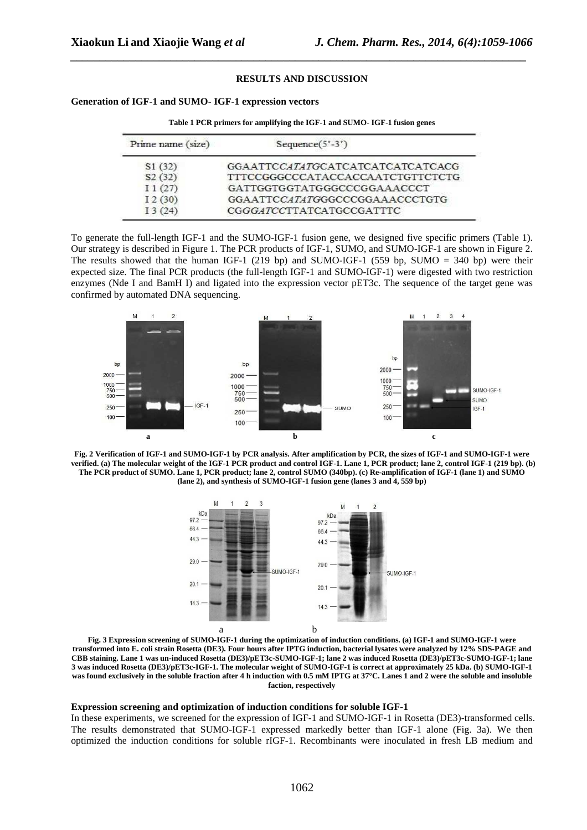### **RESULTS AND DISCUSSION**

*\_\_\_\_\_\_\_\_\_\_\_\_\_\_\_\_\_\_\_\_\_\_\_\_\_\_\_\_\_\_\_\_\_\_\_\_\_\_\_\_\_\_\_\_\_\_\_\_\_\_\_\_\_\_\_\_\_\_\_\_\_\_\_\_\_\_\_\_\_\_\_\_\_\_\_\_\_*

**Generation of IGF-1 and SUMO- IGF-1 expression vectors** 

| Prime name (size) | Sequence $(5^{\circ} - 3^{\circ})$ |
|-------------------|------------------------------------|
| S1(32)            | GGAATTCCATATGCATCATCATCATCATCACG   |
| S2(32)            | TTTCCGGGCCCATACCACCAATCTGTTCTCTG   |
| I1(27)            | GATTGGTGGTATGGGCCCGGAAACCCT        |
| I2(30)            | GGAATTCCATATGGGCCCGGAAACCCTGTG     |
| I3(24)            | CGGGATCCTTATCATGCCGATTTC           |

**Table 1 PCR primers for amplifying the IGF-1 and SUMO- IGF-1 fusion genes** 

To generate the full-length IGF-1 and the SUMO-IGF-1 fusion gene, we designed five specific primers (Table 1). Our strategy is described in Figure 1. The PCR products of IGF-1, SUMO, and SUMO-IGF-1 are shown in Figure 2. The results showed that the human IGF-1 (219 bp) and SUMO-IGF-1 (559 bp, SUMO = 340 bp) were their expected size. The final PCR products (the full-length IGF-1 and SUMO-IGF-1) were digested with two restriction enzymes (Nde I and BamH I) and ligated into the expression vector pET3c. The sequence of the target gene was confirmed by automated DNA sequencing.







**Fig. 3 Expression screening of SUMO-IGF-1 during the optimization of induction conditions. (a) IGF-1 and SUMO-IGF-1 were transformed into E. coli strain Rosetta (DE3). Four hours after IPTG induction, bacterial lysates were analyzed by 12% SDS-PAGE and CBB staining. Lane 1 was un-induced Rosetta (DE3)/pET3c-SUMO-IGF-1; lane 2 was induced Rosetta (DE3)/pET3c-SUMO-IGF-1; lane 3 was induced Rosetta (DE3)/pET3c-IGF-1. The molecular weight of SUMO-IGF-1 is correct at approximately 25 kDa. (b) SUMO-IGF-1 was found exclusively in the soluble fraction after 4 h induction with 0.5 mM IPTG at 37°C. Lanes 1 and 2 were the soluble and insoluble faction, respectively** 

### **Expression screening and optimization of induction conditions for soluble IGF-1**

In these experiments, we screened for the expression of IGF-1 and SUMO-IGF-1 in Rosetta (DE3)-transformed cells. The results demonstrated that SUMO-IGF-1 expressed markedly better than IGF-1 alone (Fig. 3a). We then optimized the induction conditions for soluble rIGF-1. Recombinants were inoculated in fresh LB medium and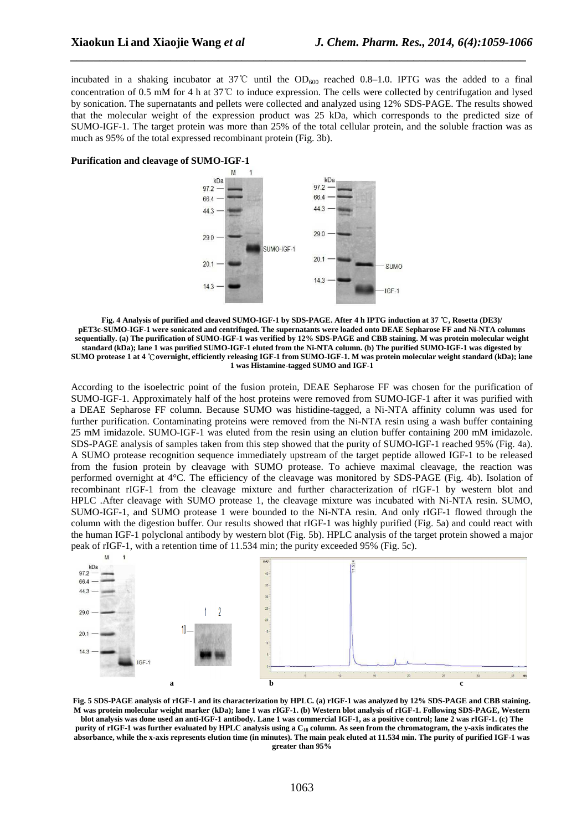incubated in a shaking incubator at 37°C until the  $OD_{600}$  reached 0.8–1.0. IPTG was the added to a final concentration of 0.5 mM for 4 h at 37℃ to induce expression. The cells were collected by centrifugation and lysed by sonication. The supernatants and pellets were collected and analyzed using 12% SDS-PAGE. The results showed that the molecular weight of the expression product was 25 kDa, which corresponds to the predicted size of SUMO-IGF-1. The target protein was more than 25% of the total cellular protein, and the soluble fraction was as much as 95% of the total expressed recombinant protein (Fig. 3b).

*\_\_\_\_\_\_\_\_\_\_\_\_\_\_\_\_\_\_\_\_\_\_\_\_\_\_\_\_\_\_\_\_\_\_\_\_\_\_\_\_\_\_\_\_\_\_\_\_\_\_\_\_\_\_\_\_\_\_\_\_\_\_\_\_\_\_\_\_\_\_\_\_\_\_\_\_\_*





**Fig. 4 Analysis of purified and cleaved SUMO-IGF-1 by SDS-PAGE. After 4 h IPTG induction at 37** ℃**, Rosetta (DE3)/ pET3c-SUMO-IGF-1 were sonicated and centrifuged. The supernatants were loaded onto DEAE Sepharose FF and Ni-NTA columns sequentially. (a) The purification of SUMO-IGF-1 was verified by 12% SDS-PAGE and CBB staining. M was protein molecular weight standard (kDa); lane 1 was purified SUMO-IGF-1 eluted from the Ni-NTA column. (b) The purified SUMO-IGF-1 was digested by SUMO protease 1 at 4** ℃ **overnight, efficiently releasing IGF-1 from SUMO-IGF-1. M was protein molecular weight standard (kDa); lane 1 was Histamine-tagged SUMO and IGF-1** 

According to the isoelectric point of the fusion protein, DEAE Sepharose FF was chosen for the purification of SUMO-IGF-1. Approximately half of the host proteins were removed from SUMO-IGF-1 after it was purified with a DEAE Sepharose FF column. Because SUMO was histidine-tagged, a Ni-NTA affinity column was used for further purification. Contaminating proteins were removed from the Ni-NTA resin using a wash buffer containing 25 mM imidazole. SUMO-IGF-1 was eluted from the resin using an elution buffer containing 200 mM imidazole. SDS-PAGE analysis of samples taken from this step showed that the purity of SUMO-IGF-1 reached 95% (Fig. 4a). A SUMO protease recognition sequence immediately upstream of the target peptide allowed IGF-1 to be released from the fusion protein by cleavage with SUMO protease. To achieve maximal cleavage, the reaction was performed overnight at 4°C. The efficiency of the cleavage was monitored by SDS-PAGE (Fig. 4b). Isolation of recombinant rIGF-1 from the cleavage mixture and further characterization of rIGF-1 by western blot and HPLC .After cleavage with SUMO protease 1, the cleavage mixture was incubated with Ni-NTA resin. SUMO, SUMO-IGF-1, and SUMO protease 1 were bounded to the Ni-NTA resin. And only rIGF-1 flowed through the column with the digestion buffer. Our results showed that rIGF-1 was highly purified (Fig. 5a) and could react with the human IGF-1 polyclonal antibody by western blot (Fig. 5b). HPLC analysis of the target protein showed a major peak of rIGF-1, with a retention time of 11.534 min; the purity exceeded 95% (Fig. 5c).



**Fig. 5 SDS-PAGE analysis of rIGF-1 and its characterization by HPLC. (a) rIGF-1 was analyzed by 12% SDS-PAGE and CBB staining. M was protein molecular weight marker (kDa); lane 1 was rIGF-1. (b) Western blot analysis of rIGF-1. Following SDS-PAGE, Western blot analysis was done used an anti-IGF-1 antibody. Lane 1 was commercial IGF-1, as a positive control; lane 2 was rIGF-1. (c) The purity of rIGF-1 was further evaluated by HPLC analysis using a C18 column. As seen from the chromatogram, the y-axis indicates the absorbance, while the x-axis represents elution time (in minutes). The main peak eluted at 11.534 min. The purity of purified IGF-1 was greater than 95%**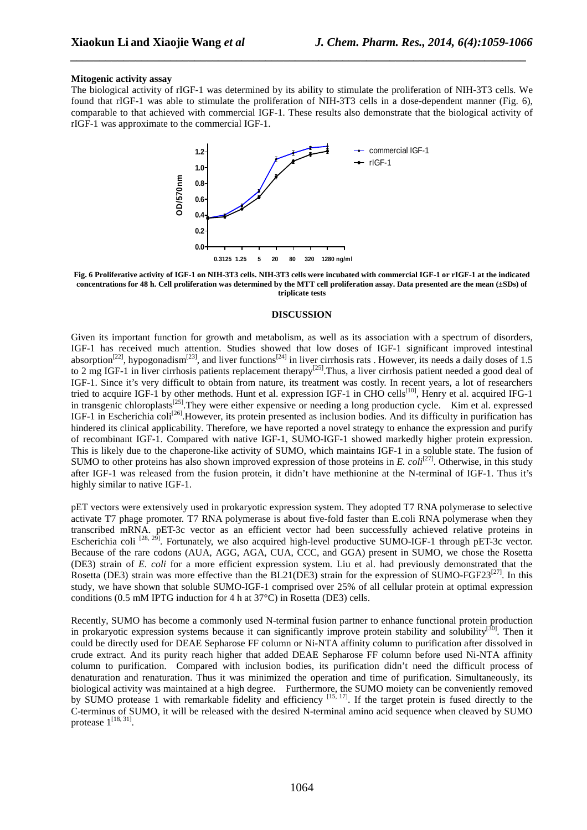## **Mitogenic activity assay**

The biological activity of rIGF-1 was determined by its ability to stimulate the proliferation of NIH-3T3 cells. We found that rIGF-1 was able to stimulate the proliferation of NIH-3T3 cells in a dose-dependent manner (Fig. 6), comparable to that achieved with commercial IGF-1. These results also demonstrate that the biological activity of rIGF-1 was approximate to the commercial IGF-1.

*\_\_\_\_\_\_\_\_\_\_\_\_\_\_\_\_\_\_\_\_\_\_\_\_\_\_\_\_\_\_\_\_\_\_\_\_\_\_\_\_\_\_\_\_\_\_\_\_\_\_\_\_\_\_\_\_\_\_\_\_\_\_\_\_\_\_\_\_\_\_\_\_\_\_\_\_\_*



**Fig. 6 Proliferative activity of IGF-1 on NIH-3T3 cells. NIH-3T3 cells were incubated with commercial IGF-1 or rIGF-1 at the indicated concentrations for 48 h. Cell proliferation was determined by the MTT cell proliferation assay. Data presented are the mean (±SDs) of triplicate tests** 

#### **DISCUSSION**

Given its important function for growth and metabolism, as well as its association with a spectrum of disorders, IGF-1 has received much attention. Studies showed that low doses of IGF-1 significant improved intestinal absorption<sup>[22]</sup>, hypogonadism<sup>[23]</sup>, and liver functions<sup>[24]</sup> in liver cirrhosis rats . However, its needs a daily doses of 1.5 to 2 mg IGF-1 in liver cirrhosis patients replacement therapy<sup>[25]</sup>. Thus, a liver cirrhosis patient needed a good deal of IGF-1. Since it's very difficult to obtain from nature, its treatment was costly. In recent years, a lot of researchers tried to acquire IGF-1 by other methods. Hunt et al. expression IGF-1 in CHO cells<sup>[10]</sup>, Henry et al. acquired IFG-1 in transgenic chloroplasts<sup>[25]</sup>. They were either expensive or needing a long production cycle. Kim et al. expressed IGF-1 in Escherichia coli<sup>[26]</sup>. However, its protein presented as inclusion bodies. And its difficulty in purification has hindered its clinical applicability. Therefore, we have reported a novel strategy to enhance the expression and purify of recombinant IGF-1. Compared with native IGF-1, SUMO-IGF-1 showed markedly higher protein expression. This is likely due to the chaperone-like activity of SUMO, which maintains IGF-1 in a soluble state. The fusion of SUMO to other proteins has also shown improved expression of those proteins in  $E$ ,  $\text{col}[i^{[27]}]$ . Otherwise, in this study after IGF-1 was released from the fusion protein, it didn't have methionine at the N-terminal of IGF-1. Thus it's highly similar to native IGF-1.

pET vectors were extensively used in prokaryotic expression system. They adopted T7 RNA polymerase to selective activate T7 phage promoter. T7 RNA polymerase is about five-fold faster than E.coli RNA polymerase when they transcribed mRNA. pET-3c vector as an efficient vector had been successfully achieved relative proteins in Escherichia coli <sup>[28, 29]</sup>. Fortunately, we also acquired high-level productive SUMO-IGF-1 through pET-3c vector. Because of the rare codons (AUA, AGG, AGA, CUA, CCC, and GGA) present in SUMO, we chose the Rosetta (DE3) strain of *E. coli* for a more efficient expression system. Liu et al. had previously demonstrated that the Rosetta (DE3) strain was more effective than the BL21(DE3) strain for the expression of SUMO-FGF23<sup>[27]</sup>. In this study, we have shown that soluble SUMO-IGF-1 comprised over 25% of all cellular protein at optimal expression conditions (0.5 mM IPTG induction for 4 h at 37°C) in Rosetta (DE3) cells.

Recently, SUMO has become a commonly used N-terminal fusion partner to enhance functional protein production in prokaryotic expression systems because it can significantly improve protein stability and solubility<sup>[30]</sup>. Then it could be directly used for DEAE Sepharose FF column or Ni-NTA affinity column to purification after dissolved in crude extract. And its purity reach higher that added DEAE Sepharose FF column before used Ni-NTA affinity column to purification. Compared with inclusion bodies, its purification didn't need the difficult process of denaturation and renaturation. Thus it was minimized the operation and time of purification. Simultaneously, its biological activity was maintained at a high degree. Furthermore, the SUMO moiety can be conveniently removed by SUMO protease 1 with remarkable fidelity and efficiency  $^{[15, 17]}$ . If the target protein is fused directly to the C-terminus of SUMO, it will be released with the desired N-terminal amino acid sequence when cleaved by SUMO protease  $1^{[18, 31]}$ .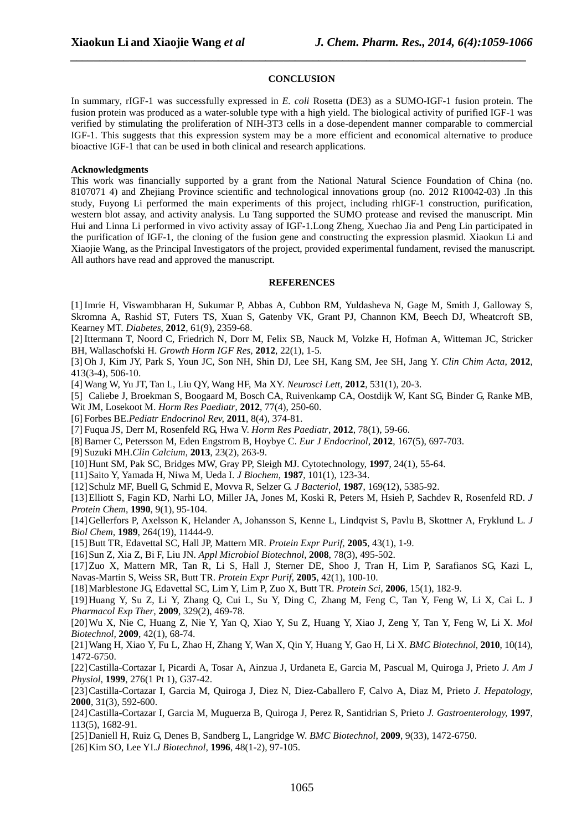### **CONCLUSION**

*\_\_\_\_\_\_\_\_\_\_\_\_\_\_\_\_\_\_\_\_\_\_\_\_\_\_\_\_\_\_\_\_\_\_\_\_\_\_\_\_\_\_\_\_\_\_\_\_\_\_\_\_\_\_\_\_\_\_\_\_\_\_\_\_\_\_\_\_\_\_\_\_\_\_\_\_\_*

In summary, rIGF-1 was successfully expressed in *E. coli* Rosetta (DE3) as a SUMO-IGF-1 fusion protein. The fusion protein was produced as a water-soluble type with a high yield. The biological activity of purified IGF-1 was verified by stimulating the proliferation of NIH-3T3 cells in a dose-dependent manner comparable to commercial IGF-1. This suggests that this expression system may be a more efficient and economical alternative to produce bioactive IGF-1 that can be used in both clinical and research applications.

## **Acknowledgments**

This work was financially supported by a grant from the National Natural Science Foundation of China (no. 8107071 4) and Zhejiang Province scientific and technological innovations group (no. 2012 R10042-03) .In this study, Fuyong Li performed the main experiments of this project, including rhIGF-1 construction, purification, western blot assay, and activity analysis. Lu Tang supported the SUMO protease and revised the manuscript. Min Hui and Linna Li performed in vivo activity assay of IGF-1.Long Zheng, Xuechao Jia and Peng Lin participated in the purification of IGF-1, the cloning of the fusion gene and constructing the expression plasmid. Xiaokun Li and Xiaojie Wang, as the Principal Investigators of the project, provided experimental fundament, revised the manuscript. All authors have read and approved the manuscript.

#### **REFERENCES**

[1] Imrie H, Viswambharan H, Sukumar P, Abbas A, Cubbon RM, Yuldasheva N, Gage M, Smith J, Galloway S, Skromna A, Rashid ST, Futers TS, Xuan S, Gatenby VK, Grant PJ, Channon KM, Beech DJ, Wheatcroft SB, Kearney MT. *Diabetes*, **2012**, 61(9), 2359-68.

[2] Ittermann T, Noord C, Friedrich N, Dorr M, Felix SB, Nauck M, Volzke H, Hofman A, Witteman JC, Stricker BH, Wallaschofski H. *Growth Horm IGF Res,* **2012**, 22(1), 1-5.

[3] Oh J, Kim JY, Park S, Youn JC, Son NH, Shin DJ, Lee SH, Kang SM, Jee SH, Jang Y. *Clin Chim Acta*, **2012**, 413(3-4), 506-10.

[4] Wang W, Yu JT, Tan L, Liu QY, Wang HF, Ma XY. *Neurosci Lett,* **2012**, 531(1), 20-3.

[5] Caliebe J, Broekman S, Boogaard M, Bosch CA, Ruivenkamp CA, Oostdijk W, Kant SG, Binder G, Ranke MB,

Wit JM, Losekoot M. *Horm Res Paediatr*, **2012**, 77(4), 250-60.

[6] Forbes BE.*Pediatr Endocrinol Rev,* **2011**, 8(4), 374-81.

[7] Fuqua JS, Derr M, Rosenfeld RG, Hwa V. *Horm Res Paediatr*, **2012**, 78(1), 59-66.

[8] Barner C, Petersson M, Eden Engstrom B, Hoybye C. *Eur J Endocrinol*, **2012**, 167(5), 697-703.

[9] Suzuki MH.*Clin Calcium*, **2013**, 23(2), 263-9.

[10]Hunt SM, Pak SC, Bridges MW, Gray PP, Sleigh MJ. Cytotechnology, **1997**, 24(1), 55-64.

[11]Saito Y, Yamada H, Niwa M, Ueda I. *J Biochem*, **1987**, 101(1), 123-34.

[12]Schulz MF, Buell G, Schmid E, Movva R, Selzer G. *J Bacteriol*, **1987**, 169(12), 5385-92.

[13]Elliott S, Fagin KD, Narhi LO, Miller JA, Jones M, Koski R, Peters M, Hsieh P, Sachdev R, Rosenfeld RD. *J Protein Chem*, **1990**, 9(1), 95-104.

[14]Gellerfors P, Axelsson K, Helander A, Johansson S, Kenne L, Lindqvist S, Pavlu B, Skottner A, Fryklund L. *J Biol Chem,* **1989**, 264(19), 11444-9.

[15]Butt TR, Edavettal SC, Hall JP, Mattern MR. *Protein Expr Purif,* **2005**, 43(1), 1-9.

[16]Sun Z, Xia Z, Bi F, Liu JN. *Appl Microbiol Biotechnol,* **2008**, 78(3), 495-502.

[17]Zuo X, Mattern MR, Tan R, Li S, Hall J, Sterner DE, Shoo J, Tran H, Lim P, Sarafianos SG, Kazi L, Navas-Martin S, Weiss SR, Butt TR. *Protein Expr Purif,* **2005**, 42(1), 100-10.

[18]Marblestone JG, Edavettal SC, Lim Y, Lim P, Zuo X, Butt TR. *Protein Sci,* **2006**, 15(1), 182-9.

[19]Huang Y, Su Z, Li Y, Zhang Q, Cui L, Su Y, Ding C, Zhang M, Feng C, Tan Y, Feng W, Li X, Cai L. J *Pharmacol Exp Ther*, **2009**, 329(2), 469-78.

[20]Wu X, Nie C, Huang Z, Nie Y, Yan Q, Xiao Y, Su Z, Huang Y, Xiao J, Zeng Y, Tan Y, Feng W, Li X. *Mol Biotechnol,* **2009**, 42(1), 68-74.

[21]Wang H, Xiao Y, Fu L, Zhao H, Zhang Y, Wan X, Qin Y, Huang Y, Gao H, Li X. *BMC Biotechnol,* **2010**, 10(14), 1472-6750.

[22]Castilla-Cortazar I, Picardi A, Tosar A, Ainzua J, Urdaneta E, Garcia M, Pascual M, Quiroga J, Prieto *J. Am J Physiol,* **1999**, 276(1 Pt 1), G37-42.

[23]Castilla-Cortazar I, Garcia M, Quiroga J, Diez N, Diez-Caballero F, Calvo A, Diaz M, Prieto *J. Hepatology*, **2000**, 31(3), 592-600.

[24]Castilla-Cortazar I, Garcia M, Muguerza B, Quiroga J, Perez R, Santidrian S, Prieto *J. Gastroenterology,* **1997**, 113(5), 1682-91.

[25]Daniell H, Ruiz G, Denes B, Sandberg L, Langridge W. *BMC Biotechnol,* **2009**, 9(33), 1472-6750.

[26]Kim SO, Lee YI.*J Biotechnol,* **1996**, 48(1-2), 97-105.